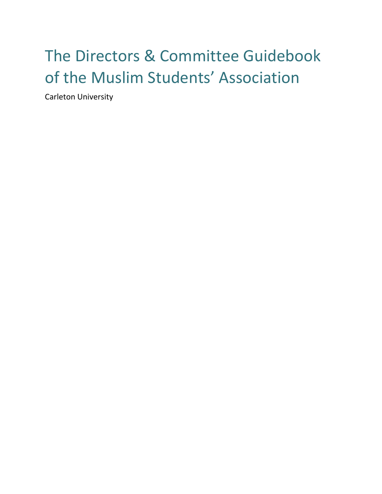# The Directors & Committee Guidebook of the Muslim Students' Association

Carleton University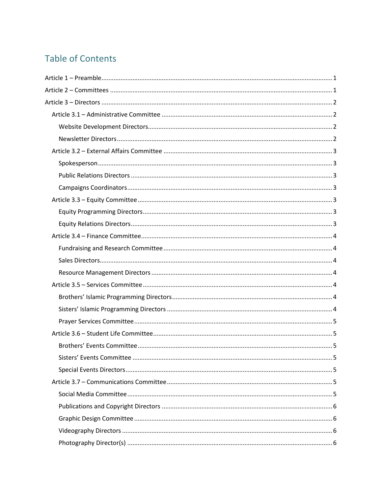# **Table of Contents**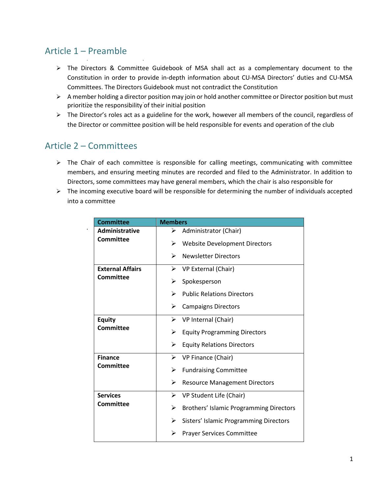# <span id="page-2-0"></span>Article 1 – Preamble

- $\triangleright$  The Directors & Committee Guidebook of MSA shall act as a complementary document to the Constitution in order to provide in-depth information about CU‐MSA Directors' duties and CU‐MSA Committees. The Directors Guidebook must not contradict the Constitution
- A member holding a director position may join or hold another committee or Director position but must prioritize the responsibility of their initial position
- $\triangleright$  The Director's roles act as a guideline for the work, however all members of the council, regardless of the Director or committee position will be held responsible for events and operation of the club

# <span id="page-2-1"></span>Article 2 – Committees

- $\triangleright$  The Chair of each committee is responsible for calling meetings, communicating with committee members, and ensuring meeting minutes are recorded and filed to the Administrator. In addition to Directors, some committees may have general members, which the chair is also responsible for
- $\triangleright$  The incoming executive board will be responsible for determining the number of individuals accepted into a committee

| <b>Committee</b>        | <b>Members</b>                               |
|-------------------------|----------------------------------------------|
| <b>Administrative</b>   | ➤<br>Administrator (Chair)                   |
| <b>Committee</b>        | <b>Website Development Directors</b><br>⋗    |
|                         | <b>Newsletter Directors</b><br>⋗             |
| <b>External Affairs</b> | VP External (Chair)<br>⋗                     |
| <b>Committee</b>        | Spokesperson<br>⋗                            |
|                         | <b>Public Relations Directors</b><br>↘       |
|                         | ➤<br><b>Campaigns Directors</b>              |
| <b>Equity</b>           | ➤<br>VP Internal (Chair)                     |
| <b>Committee</b>        | ➤<br><b>Equity Programming Directors</b>     |
|                         | ➤<br><b>Equity Relations Directors</b>       |
| <b>Finance</b>          | VP Finance (Chair)<br>➤                      |
| <b>Committee</b>        | <b>Fundraising Committee</b><br>⋗            |
|                         | ➤<br><b>Resource Management Directors</b>    |
| <b>Services</b>         | ➤<br>VP Student Life (Chair)                 |
| Committee               | Brothers' Islamic Programming Directors<br>➤ |
|                         | ⋗<br>Sisters' Islamic Programming Directors  |
|                         | <b>Prayer Services Committee</b><br>⋗        |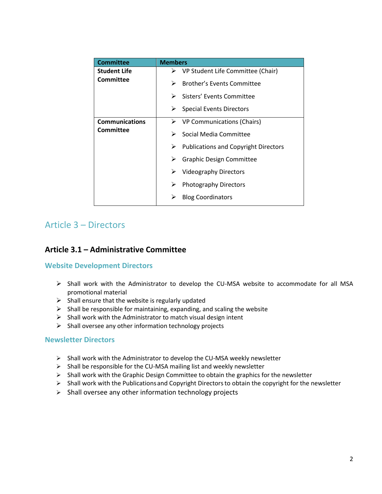| <b>Committee</b>                          | <b>Members</b>                                   |
|-------------------------------------------|--------------------------------------------------|
| <b>Student Life</b><br>Committee          | VP Student Life Committee (Chair)<br>➤           |
|                                           | Brother's Events Committee<br>⋗                  |
|                                           | Sisters' Events Committee<br>➤                   |
|                                           | <b>Special Events Directors</b><br>➤             |
| <b>Communications</b><br><b>Committee</b> | VP Communications (Chairs)<br>➤                  |
|                                           | Social Media Committee<br>➤                      |
|                                           | <b>Publications and Copyright Directors</b><br>➤ |
|                                           | <b>Graphic Design Committee</b><br>➤             |
|                                           | Videography Directors<br>➤                       |
|                                           | <b>Photography Directors</b><br>➤                |
|                                           | <b>Blog Coordinators</b>                         |

# <span id="page-3-0"></span>Article 3 – Directors

# <span id="page-3-1"></span>**Article 3.1 – Administrative Committee**

#### <span id="page-3-2"></span>**Website Development Directors**

- $\triangleright$  Shall work with the Administrator to develop the CU-MSA website to accommodate for all MSA promotional material
- $\triangleright$  Shall ensure that the website is regularly updated
- $\triangleright$  Shall be responsible for maintaining, expanding, and scaling the website
- $\triangleright$  Shall work with the Administrator to match visual design intent
- $\triangleright$  Shall oversee any other information technology projects

#### <span id="page-3-3"></span>**Newsletter Directors**

- $\triangleright$  Shall work with the Administrator to develop the CU-MSA weekly newsletter
- $\triangleright$  Shall be responsible for the CU-MSA mailing list and weekly newsletter
- $\triangleright$  Shall work with the Graphic Design Committee to obtain the graphics for the newsletter
- $\triangleright$  Shall work with the Publications and Copyright Directors to obtain the copyright for the newsletter
- $\triangleright$  Shall oversee any other information technology projects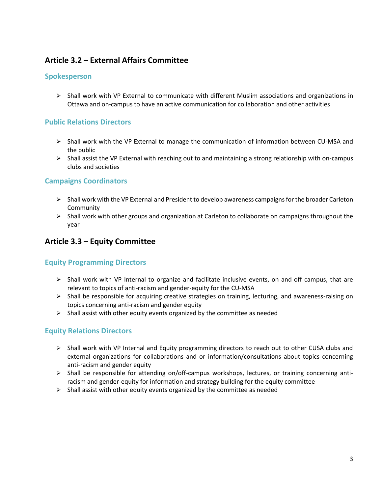# <span id="page-4-0"></span>**Article 3.2 – External Affairs Committee**

#### <span id="page-4-1"></span>**Spokesperson**

 $\triangleright$  Shall work with VP External to communicate with different Muslim associations and organizations in Ottawa and on-campus to have an active communication for collaboration and other activities

#### <span id="page-4-2"></span>**Public Relations Directors**

- Shall work with the VP External to manage the communication of information between CU‐MSA and the public
- $\triangleright$  Shall assist the VP External with reaching out to and maintaining a strong relationship with on-campus clubs and societies

#### <span id="page-4-3"></span>**Campaigns Coordinators**

- $\triangleright$  Shall work with the VP External and President to develop awareness campaigns for the broader Carleton **Community**
- $\triangleright$  Shall work with other groups and organization at Carleton to collaborate on campaigns throughout the year

## <span id="page-4-4"></span>**Article 3.3 – Equity Committee**

#### <span id="page-4-5"></span>**Equity Programming Directors**

- $\triangleright$  Shall work with VP Internal to organize and facilitate inclusive events, on and off campus, that are relevant to topics of anti-racism and gender-equity for the CU-MSA
- $\triangleright$  Shall be responsible for acquiring creative strategies on training, lecturing, and awareness-raising on topics concerning anti-racism and gender equity
- $\triangleright$  Shall assist with other equity events organized by the committee as needed

#### <span id="page-4-6"></span>**Equity Relations Directors**

- $\triangleright$  Shall work with VP Internal and Equity programming directors to reach out to other CUSA clubs and external organizations for collaborations and or information/consultations about topics concerning anti-racism and gender equity
- $\triangleright$  Shall be responsible for attending on/off-campus workshops, lectures, or training concerning antiracism and gender-equity for information and strategy building for the equity committee
- $\triangleright$  Shall assist with other equity events organized by the committee as needed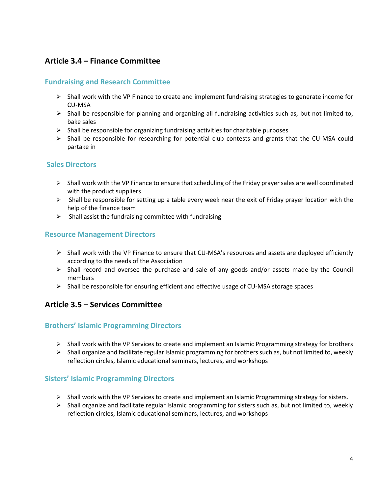# <span id="page-5-0"></span>**Article 3.4 – Finance Committee**

#### <span id="page-5-1"></span>**Fundraising and Research Committee**

- $\triangleright$  Shall work with the VP Finance to create and implement fundraising strategies to generate income for CU‐MSA
- $\triangleright$  Shall be responsible for planning and organizing all fundraising activities such as, but not limited to, bake sales
- $\triangleright$  Shall be responsible for organizing fundraising activities for charitable purposes
- $\triangleright$  Shall be responsible for researching for potential club contests and grants that the CU-MSA could partake in

#### <span id="page-5-2"></span>**Sales Directors**

- $\triangleright$  Shall work with the VP Finance to ensure that scheduling of the Friday prayer sales are well coordinated with the product suppliers
- $\triangleright$  Shall be responsible for setting up a table every week near the exit of Friday prayer location with the help of the finance team
- $\triangleright$  Shall assist the fundraising committee with fundraising

#### <span id="page-5-3"></span>**Resource Management Directors**

- Shall work with the VP Finance to ensure that CU-MSA's resources and assets are deployed efficiently according to the needs of the Association
- $\triangleright$  Shall record and oversee the purchase and sale of any goods and/or assets made by the Council members
- $\triangleright$  Shall be responsible for ensuring efficient and effective usage of CU-MSA storage spaces

# <span id="page-5-4"></span>**Article 3.5 – Services Committee**

#### <span id="page-5-5"></span>**Brothers' Islamic Programming Directors**

- $\triangleright$  Shall work with the VP Services to create and implement an Islamic Programming strategy for brothers
- $\triangleright$  Shall organize and facilitate regular Islamic programming for brothers such as, but not limited to, weekly reflection circles, Islamic educational seminars, lectures, and workshops

## <span id="page-5-6"></span>**Sisters' Islamic Programming Directors**

- $\triangleright$  Shall work with the VP Services to create and implement an Islamic Programming strategy for sisters.
- $\triangleright$  Shall organize and facilitate regular Islamic programming for sisters such as, but not limited to, weekly reflection circles, Islamic educational seminars, lectures, and workshops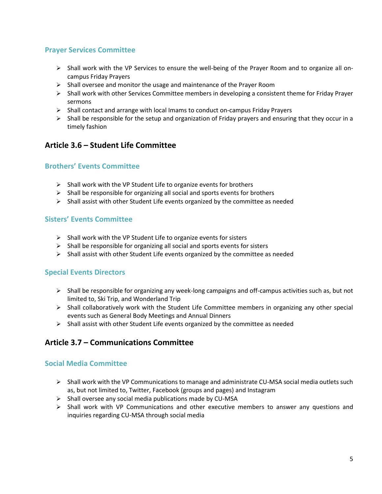### <span id="page-6-0"></span>**Prayer Services Committee**

- Shall work with the VP Services to ensure the well‐being of the Prayer Room and to organize all oncampus Friday Prayers
- $\triangleright$  Shall oversee and monitor the usage and maintenance of the Prayer Room
- $\triangleright$  Shall work with other Services Committee members in developing a consistent theme for Friday Prayer sermons
- $\triangleright$  Shall contact and arrange with local Imams to conduct on-campus Friday Prayers
- $\triangleright$  Shall be responsible for the setup and organization of Friday prayers and ensuring that they occur in a timely fashion

## <span id="page-6-1"></span>**Article 3.6 – Student Life Committee**

#### <span id="page-6-2"></span>**Brothers' Events Committee**

- $\triangleright$  Shall work with the VP Student Life to organize events for brothers
- $\triangleright$  Shall be responsible for organizing all social and sports events for brothers
- $\triangleright$  Shall assist with other Student Life events organized by the committee as needed

#### <span id="page-6-3"></span>**Sisters' Events Committee**

- $\triangleright$  Shall work with the VP Student Life to organize events for sisters
- $\triangleright$  Shall be responsible for organizing all social and sports events for sisters
- $\triangleright$  Shall assist with other Student Life events organized by the committee as needed

#### <span id="page-6-4"></span>**Special Events Directors**

- Shall be responsible for organizing any week‐long campaigns and off-campus activities such as, but not limited to, Ski Trip, and Wonderland Trip
- $\triangleright$  Shall collaboratively work with the Student Life Committee members in organizing any other special events such as General Body Meetings and Annual Dinners
- $\triangleright$  Shall assist with other Student Life events organized by the committee as needed

## <span id="page-6-5"></span>**Article 3.7 – Communications Committee**

#### <span id="page-6-6"></span>**Social Media Committee**

- $\triangleright$  Shall work with the VP Communications to manage and administrate CU-MSA social media outlets such as, but not limited to, Twitter, Facebook (groups and pages) and Instagram
- $\triangleright$  Shall oversee any social media publications made by CU-MSA
- $\triangleright$  Shall work with VP Communications and other executive members to answer any questions and inquiries regarding CU‐MSA through social media